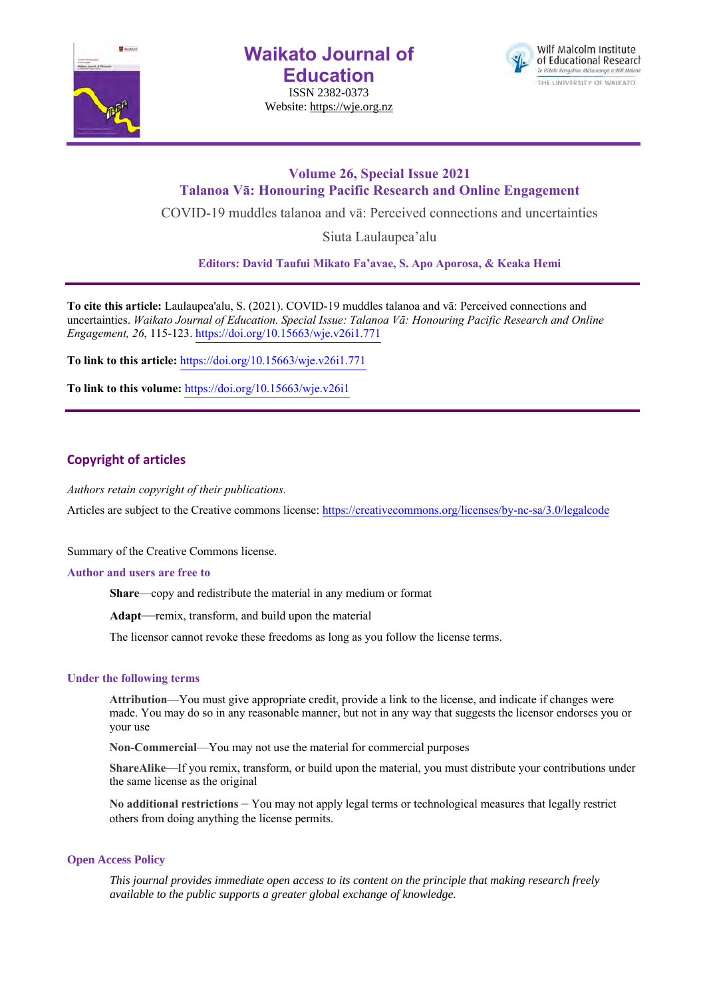

**Waikato Journal of Education**

ISSN 2382-0373 Website: https://wje.org.nz



## **Volume 26, Special Issue 2021 Talanoa Vā: Honouring Pacific Research and Online Engagement**

COVID-19 muddles talanoa and vā: Perceived connections and uncertainties

Siuta Laulaupea'alu

**Editors: David Taufui Mikato Fa'avae, S. Apo Aporosa, & Keaka Hemi**

**To cite this article:** Laulaupea'alu, S. (2021). COVID-19 muddles talanoa and vā: Perceived connections and uncertainties. *Waikato Journal of Education. Special Issue: Talanoa Vā: Honouring Pacific Research and Online Engagement, 26*, 115-123. https://doi.org/10.15663/wje.v26i1.771

**To link to this article:** https://doi.org/10.15663/wje.v26i1.771

**To link to this volume:** https://doi.org/10.15663/wje.v26i1

## **Copyright of articles**

*Authors retain copyright of their publications.*

Articles are subject to the Creative commons license: https://creativecommons.org/licenses/by-nc-sa/3.0/legalcode

Summary of the Creative Commons license.

## **Author and users are free to**

**Share**—copy and redistribute the material in any medium or format

**Adapt**—remix, transform, and build upon the material

The licensor cannot revoke these freedoms as long as you follow the license terms.

## **Under the following terms**

**Attribution**—You must give appropriate credit, provide a link to the license, and indicate if changes were made. You may do so in any reasonable manner, but not in any way that suggests the licensor endorses you or your use

**Non-Commercial**—You may not use the material for commercial purposes

**ShareAlike**—If you remix, transform, or build upon the material, you must distribute your contributions under the same license as the original

**No additional restrictions** – You may not apply legal terms or technological measures that legally restrict others from doing anything the license permits.

## **Open Access Policy**

*This journal provides immediate open access to its content on the principle that making research freely available to the public supports a greater global exchange of knowledge.*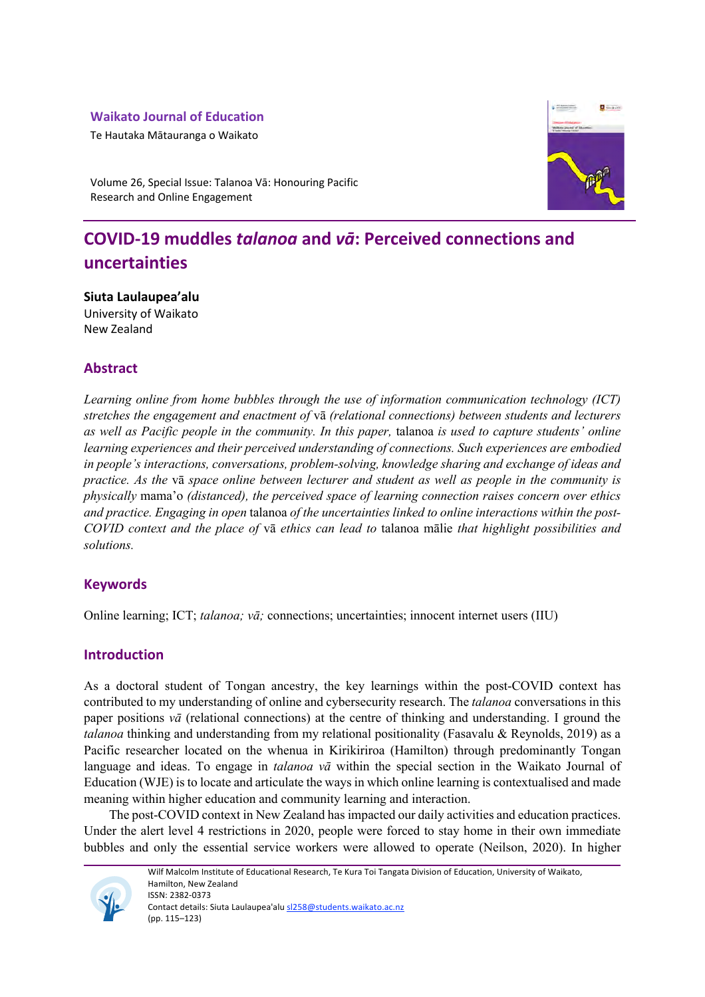## **Waikato Journal of Education**

Te Hautaka Mātauranga o Waikato



Volume 26, Special Issue: Talanoa Vā: Honouring Pacific Research and Online Engagement

# **COVID-19 muddles** *talanoa* **and** *vā***: Perceived connections and uncertainties**

**Siuta Laulaupea'alu** University of Waikato New Zealand

## **Abstract**

*Learning online from home bubbles through the use of information communication technology (ICT) stretches the engagement and enactment of* vā *(relational connections) between students and lecturers as well as Pacific people in the community. In this paper,* talanoa *is used to capture students' online learning experiences and their perceived understanding of connections. Such experiences are embodied in people's interactions, conversations, problem-solving, knowledge sharing and exchange of ideas and practice. As the* vā *space online between lecturer and student as well as people in the community is physically* mama'o *(distanced), the perceived space of learning connection raises concern over ethics and practice. Engaging in open* talanoa *of the uncertainties linked to online interactions within the post-COVID context and the place of* vā *ethics can lead to* talanoa mālie *that highlight possibilities and solutions.* 

## **Keywords**

Online learning; ICT; *talanoa; vā;* connections; uncertainties; innocent internet users (IIU)

## **Introduction**

As a doctoral student of Tongan ancestry, the key learnings within the post-COVID context has contributed to my understanding of online and cybersecurity research. The *talanoa* conversations in this paper positions *vā* (relational connections) at the centre of thinking and understanding. I ground the *talanoa* thinking and understanding from my relational positionality (Fasavalu & Reynolds, 2019) as a Pacific researcher located on the whenua in Kirikiriroa (Hamilton) through predominantly Tongan language and ideas. To engage in *talanoa vā* within the special section in the Waikato Journal of Education (WJE) is to locate and articulate the ways in which online learning is contextualised and made meaning within higher education and community learning and interaction.

The post-COVID context in New Zealand has impacted our daily activities and education practices. Under the alert level 4 restrictions in 2020, people were forced to stay home in their own immediate bubbles and only the essential service workers were allowed to operate (Neilson, 2020). In higher



Wilf Malcolm Institute of Educational Research, Te Kura Toi Tangata Division of Education, University of Waikato, Hamilton, New Zealand ISSN: 2382-0373 Contact details: Siuta Laulaupea'alu sl258@students.waikato.ac.nz (pp. 115–123)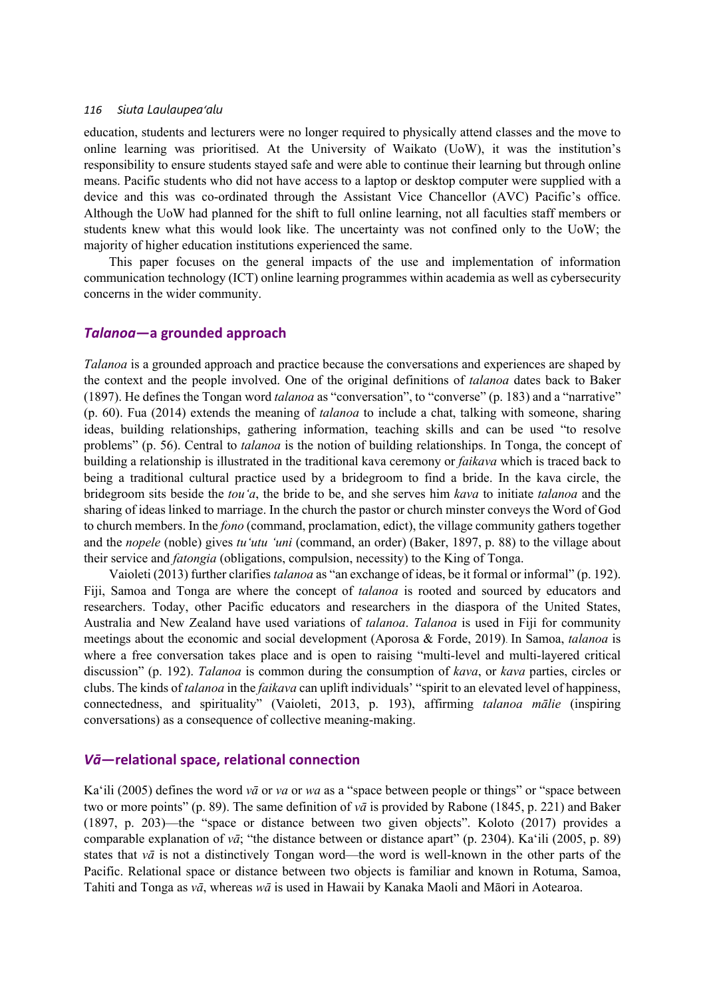education, students and lecturers were no longer required to physically attend classes and the move to online learning was prioritised. At the University of Waikato (UoW), it was the institution's responsibility to ensure students stayed safe and were able to continue their learning but through online means. Pacific students who did not have access to a laptop or desktop computer were supplied with a device and this was co-ordinated through the Assistant Vice Chancellor (AVC) Pacific's office. Although the UoW had planned for the shift to full online learning, not all faculties staff members or students knew what this would look like. The uncertainty was not confined only to the UoW; the majority of higher education institutions experienced the same.

This paper focuses on the general impacts of the use and implementation of information communication technology (ICT) online learning programmes within academia as well as cybersecurity concerns in the wider community.

## *Talanoa***—a grounded approach**

*Talanoa* is a grounded approach and practice because the conversations and experiences are shaped by the context and the people involved. One of the original definitions of *talanoa* dates back to Baker (1897). He defines the Tongan word *talanoa* as "conversation", to "converse" (p. 183) and a "narrative" (p. 60). Fua (2014) extends the meaning of *talanoa* to include a chat, talking with someone, sharing ideas, building relationships, gathering information, teaching skills and can be used "to resolve problems" (p. 56). Central to *talanoa* is the notion of building relationships. In Tonga, the concept of building a relationship is illustrated in the traditional kava ceremony or *faikava* which is traced back to being a traditional cultural practice used by a bridegroom to find a bride. In the kava circle, the bridegroom sits beside the *tou'a*, the bride to be, and she serves him *kava* to initiate *talanoa* and the sharing of ideas linked to marriage. In the church the pastor or church minster conveys the Word of God to church members. In the *fono* (command, proclamation, edict), the village community gathers together and the *nopele* (noble) gives *tu'utu 'uni* (command, an order) (Baker, 1897, p. 88) to the village about their service and *fatongia* (obligations, compulsion, necessity) to the King of Tonga.

Vaioleti (2013) further clarifies *talanoa* as "an exchange of ideas, be it formal or informal" (p. 192). Fiji, Samoa and Tonga are where the concept of *talanoa* is rooted and sourced by educators and researchers. Today, other Pacific educators and researchers in the diaspora of the United States, Australia and New Zealand have used variations of *talanoa*. *Talanoa* is used in Fiji for community meetings about the economic and social development (Aporosa & Forde, 2019). In Samoa, *talanoa* is where a free conversation takes place and is open to raising "multi-level and multi-layered critical discussion" (p. 192). *Talanoa* is common during the consumption of *kava*, or *kava* parties, circles or clubs. The kinds of *talanoa* in the *faikava* can uplift individuals' "spirit to an elevated level of happiness, connectedness, and spirituality" (Vaioleti, 2013, p. 193), affirming *talanoa mālie* (inspiring conversations) as a consequence of collective meaning-making.

## *Vā***—relational space, relational connection**

Ka'ili (2005) defines the word *vā* or *va* or *wa* as a "space between people or things" or "space between two or more points" (p. 89). The same definition of *vā* is provided by Rabone (1845, p. 221) and Baker (1897, p. 203)—the "space or distance between two given objects". Koloto (2017) provides a comparable explanation of *vā*; "the distance between or distance apart" (p. 2304). Ka'ili (2005, p. 89) states that *vā* is not a distinctively Tongan word—the word is well-known in the other parts of the Pacific. Relational space or distance between two objects is familiar and known in Rotuma, Samoa, Tahiti and Tonga as *vā*, whereas *wā* is used in Hawaii by Kanaka Maoli and Māori in Aotearoa.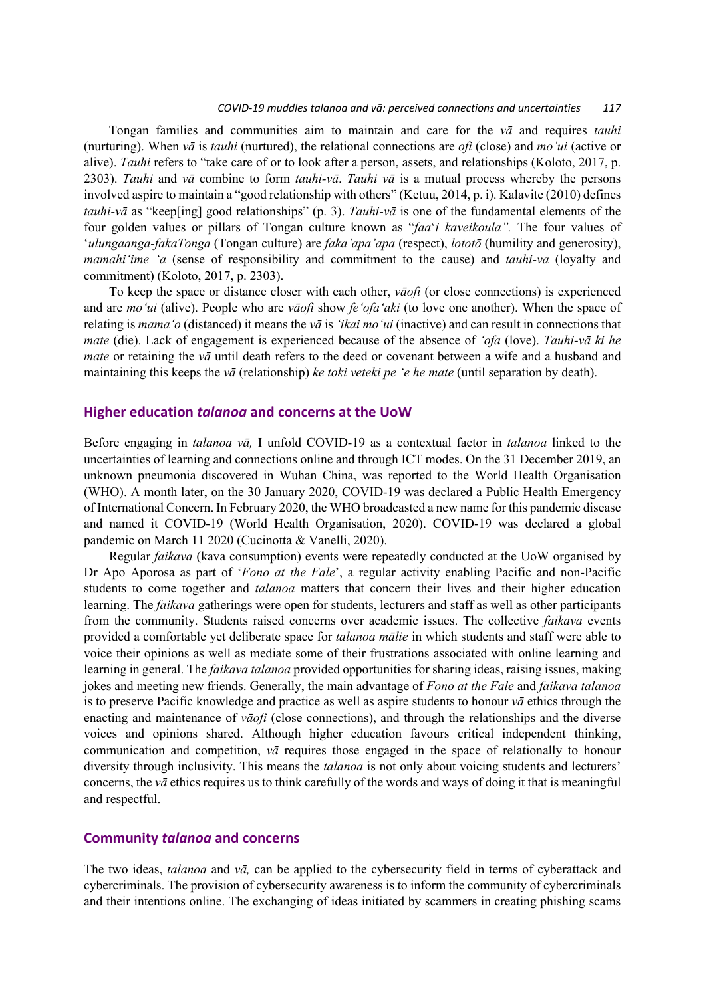#### *COVID-19 muddles talanoa and vā: perceived connections and uncertainties 117*

Tongan families and communities aim to maintain and care for the *vā* and requires *tauhi* (nurturing). When *vā* is *tauhi* (nurtured), the relational connections are *ofi* (close) and *mo'ui* (active or alive). *Tauhi* refers to "take care of or to look after a person, assets, and relationships (Koloto, 2017, p. 2303). *Tauhi* and *vā* combine to form *tauhi-vā*. *Tauhi vā* is a mutual process whereby the persons involved aspire to maintain a "good relationship with others" (Ketuu, 2014, p. i). Kalavite (2010) defines *tauhi-vā* as "keep[ing] good relationships" (p. 3). *Tauhi-vā* is one of the fundamental elements of the four golden values or pillars of Tongan culture known as "*faa*'*i kaveikoula".* The four values of '*ulungaanga-fakaTonga* (Tongan culture) are *faka'apa'apa* (respect), *lototō* (humility and generosity), *mamahi'ime 'a* (sense of responsibility and commitment to the cause) and *tauhi-va* (loyalty and commitment) (Koloto, 2017, p. 2303).

To keep the space or distance closer with each other, *vāofi* (or close connections) is experienced and are *mo'ui* (alive). People who are *vāofi* show *fe'ofa'aki* (to love one another). When the space of relating is *mama'o* (distanced) it means the *vā* is *'ikai mo'ui* (inactive) and can result in connections that *mate* (die). Lack of engagement is experienced because of the absence of *'ofa* (love). *Tauhi*-*vā ki he mate* or retaining the *vā* until death refers to the deed or covenant between a wife and a husband and maintaining this keeps the *vā* (relationship) *ke toki veteki pe 'e he mate* (until separation by death).

## **Higher education** *talanoa* **and concerns at the UoW**

Before engaging in *talanoa vā,* I unfold COVID-19 as a contextual factor in *talanoa* linked to the uncertainties of learning and connections online and through ICT modes. On the 31 December 2019, an unknown pneumonia discovered in Wuhan China, was reported to the World Health Organisation (WHO). A month later, on the 30 January 2020, COVID-19 was declared a Public Health Emergency of International Concern. In February 2020, the WHO broadcasted a new name for this pandemic disease and named it COVID-19 (World Health Organisation, 2020). COVID-19 was declared a global pandemic on March 11 2020 (Cucinotta & Vanelli, 2020).

Regular *faikava* (kava consumption) events were repeatedly conducted at the UoW organised by Dr Apo Aporosa as part of '*Fono at the Fale*', a regular activity enabling Pacific and non-Pacific students to come together and *talanoa* matters that concern their lives and their higher education learning. The *faikava* gatherings were open for students, lecturers and staff as well as other participants from the community. Students raised concerns over academic issues. The collective *faikava* events provided a comfortable yet deliberate space for *talanoa mālie* in which students and staff were able to voice their opinions as well as mediate some of their frustrations associated with online learning and learning in general. The *faikava talanoa* provided opportunities for sharing ideas, raising issues, making jokes and meeting new friends. Generally, the main advantage of *Fono at the Fale* and *faikava talanoa* is to preserve Pacific knowledge and practice as well as aspire students to honour *vā* ethics through the enacting and maintenance of *vāofi* (close connections), and through the relationships and the diverse voices and opinions shared. Although higher education favours critical independent thinking, communication and competition, *vā* requires those engaged in the space of relationally to honour diversity through inclusivity. This means the *talanoa* is not only about voicing students and lecturers' concerns, the *vā* ethics requires us to think carefully of the words and ways of doing it that is meaningful and respectful.

## **Community** *talanoa* **and concerns**

The two ideas, *talanoa* and *vā,* can be applied to the cybersecurity field in terms of cyberattack and cybercriminals. The provision of cybersecurity awareness is to inform the community of cybercriminals and their intentions online. The exchanging of ideas initiated by scammers in creating phishing scams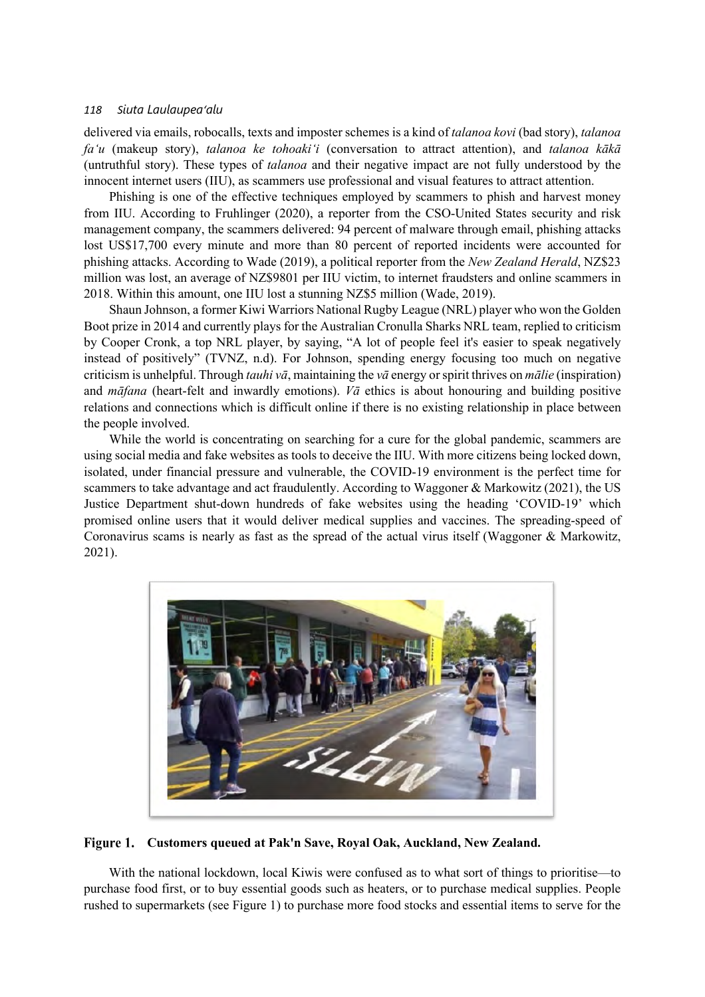delivered via emails, robocalls, texts and imposter schemes is a kind of *talanoa kovi* (bad story), *talanoa fa'u* (makeup story), *talanoa ke tohoaki'i* (conversation to attract attention), and *talanoa kākā* (untruthful story). These types of *talanoa* and their negative impact are not fully understood by the innocent internet users (IIU), as scammers use professional and visual features to attract attention.

Phishing is one of the effective techniques employed by scammers to phish and harvest money from IIU. According to Fruhlinger (2020), a reporter from the CSO-United States security and risk management company, the scammers delivered: 94 percent of malware through email, phishing attacks lost US\$17,700 every minute and more than 80 percent of reported incidents were accounted for phishing attacks. According to Wade (2019), a political reporter from the *New Zealand Herald*, NZ\$23 million was lost, an average of NZ\$9801 per IIU victim, to internet fraudsters and online scammers in 2018. Within this amount, one IIU lost a stunning NZ\$5 million (Wade, 2019).

Shaun Johnson, a former Kiwi Warriors National Rugby League (NRL) player who won the Golden Boot prize in 2014 and currently plays for the Australian Cronulla Sharks NRL team, replied to criticism by Cooper Cronk, a top NRL player, by saying, "A lot of people feel it's easier to speak negatively instead of positively" (TVNZ, n.d). For Johnson, spending energy focusing too much on negative criticism is unhelpful. Through *tauhi vā*, maintaining the *vā* energy or spirit thrives on *mālie* (inspiration) and *māfana* (heart-felt and inwardly emotions). *Vā* ethics is about honouring and building positive relations and connections which is difficult online if there is no existing relationship in place between the people involved.

While the world is concentrating on searching for a cure for the global pandemic, scammers are using social media and fake websites as tools to deceive the IIU. With more citizens being locked down, isolated, under financial pressure and vulnerable, the COVID-19 environment is the perfect time for scammers to take advantage and act fraudulently. According to Waggoner & Markowitz (2021), the US Justice Department shut-down hundreds of fake websites using the heading 'COVID-19' which promised online users that it would deliver medical supplies and vaccines. The spreading-speed of Coronavirus scams is nearly as fast as the spread of the actual virus itself (Waggoner & Markowitz, 2021).



**Customers queued at Pak'n Save, Royal Oak, Auckland, New Zealand.**

With the national lockdown, local Kiwis were confused as to what sort of things to prioritise—to purchase food first, or to buy essential goods such as heaters, or to purchase medical supplies. People rushed to supermarkets (see Figure 1) to purchase more food stocks and essential items to serve for the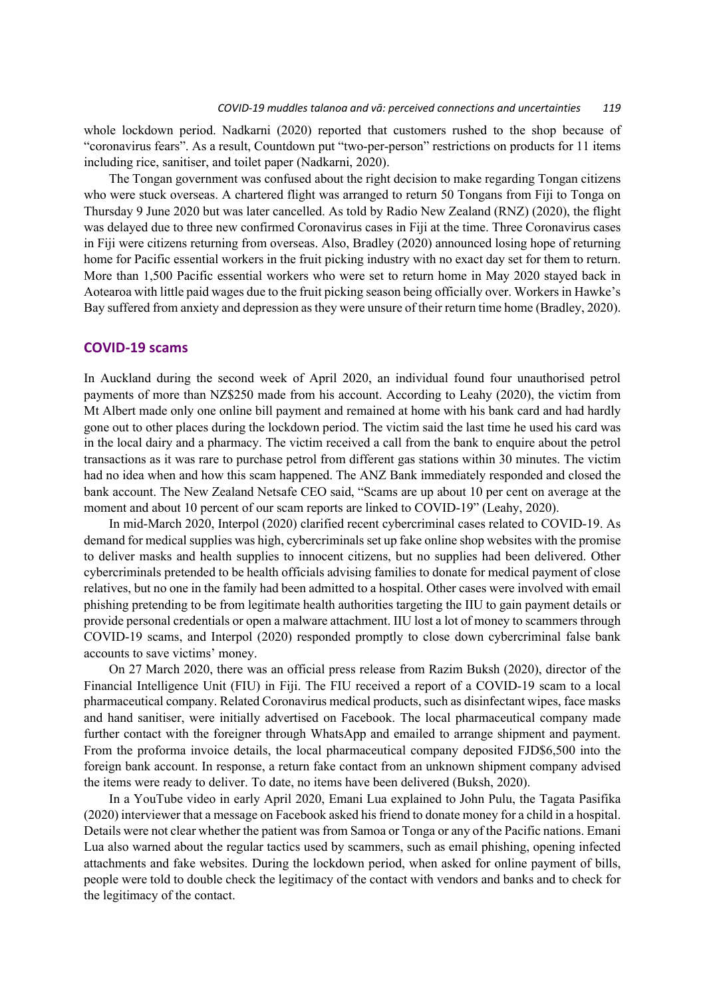whole lockdown period. Nadkarni (2020) reported that customers rushed to the shop because of "coronavirus fears". As a result, Countdown put "two-per-person" restrictions on products for 11 items including rice, sanitiser, and toilet paper (Nadkarni, 2020).

The Tongan government was confused about the right decision to make regarding Tongan citizens who were stuck overseas. A chartered flight was arranged to return 50 Tongans from Fiji to Tonga on Thursday 9 June 2020 but was later cancelled. As told by Radio New Zealand (RNZ) (2020), the flight was delayed due to three new confirmed Coronavirus cases in Fiji at the time. Three Coronavirus cases in Fiji were citizens returning from overseas. Also, Bradley (2020) announced losing hope of returning home for Pacific essential workers in the fruit picking industry with no exact day set for them to return. More than 1,500 Pacific essential workers who were set to return home in May 2020 stayed back in Aotearoa with little paid wages due to the fruit picking season being officially over. Workers in Hawke's Bay suffered from anxiety and depression as they were unsure of their return time home (Bradley, 2020).

### **COVID-19 scams**

In Auckland during the second week of April 2020, an individual found four unauthorised petrol payments of more than NZ\$250 made from his account. According to Leahy (2020), the victim from Mt Albert made only one online bill payment and remained at home with his bank card and had hardly gone out to other places during the lockdown period. The victim said the last time he used his card was in the local dairy and a pharmacy. The victim received a call from the bank to enquire about the petrol transactions as it was rare to purchase petrol from different gas stations within 30 minutes. The victim had no idea when and how this scam happened. The ANZ Bank immediately responded and closed the bank account. The New Zealand Netsafe CEO said, "Scams are up about 10 per cent on average at the moment and about 10 percent of our scam reports are linked to COVID-19" (Leahy, 2020).

In mid-March 2020, Interpol (2020) clarified recent cybercriminal cases related to COVID-19. As demand for medical supplies was high, cybercriminals set up fake online shop websites with the promise to deliver masks and health supplies to innocent citizens, but no supplies had been delivered. Other cybercriminals pretended to be health officials advising families to donate for medical payment of close relatives, but no one in the family had been admitted to a hospital. Other cases were involved with email phishing pretending to be from legitimate health authorities targeting the IIU to gain payment details or provide personal credentials or open a malware attachment. IIU lost a lot of money to scammers through COVID-19 scams, and Interpol (2020) responded promptly to close down cybercriminal false bank accounts to save victims' money.

On 27 March 2020, there was an official press release from Razim Buksh (2020), director of the Financial Intelligence Unit (FIU) in Fiji. The FIU received a report of a COVID-19 scam to a local pharmaceutical company. Related Coronavirus medical products, such as disinfectant wipes, face masks and hand sanitiser, were initially advertised on Facebook. The local pharmaceutical company made further contact with the foreigner through WhatsApp and emailed to arrange shipment and payment. From the proforma invoice details, the local pharmaceutical company deposited FJD\$6,500 into the foreign bank account. In response, a return fake contact from an unknown shipment company advised the items were ready to deliver. To date, no items have been delivered (Buksh, 2020).

In a YouTube video in early April 2020, Emani Lua explained to John Pulu, the Tagata Pasifika (2020) interviewer that a message on Facebook asked hisfriend to donate money for a child in a hospital. Details were not clear whether the patient was from Samoa or Tonga or any of the Pacific nations. Emani Lua also warned about the regular tactics used by scammers, such as email phishing, opening infected attachments and fake websites. During the lockdown period, when asked for online payment of bills, people were told to double check the legitimacy of the contact with vendors and banks and to check for the legitimacy of the contact.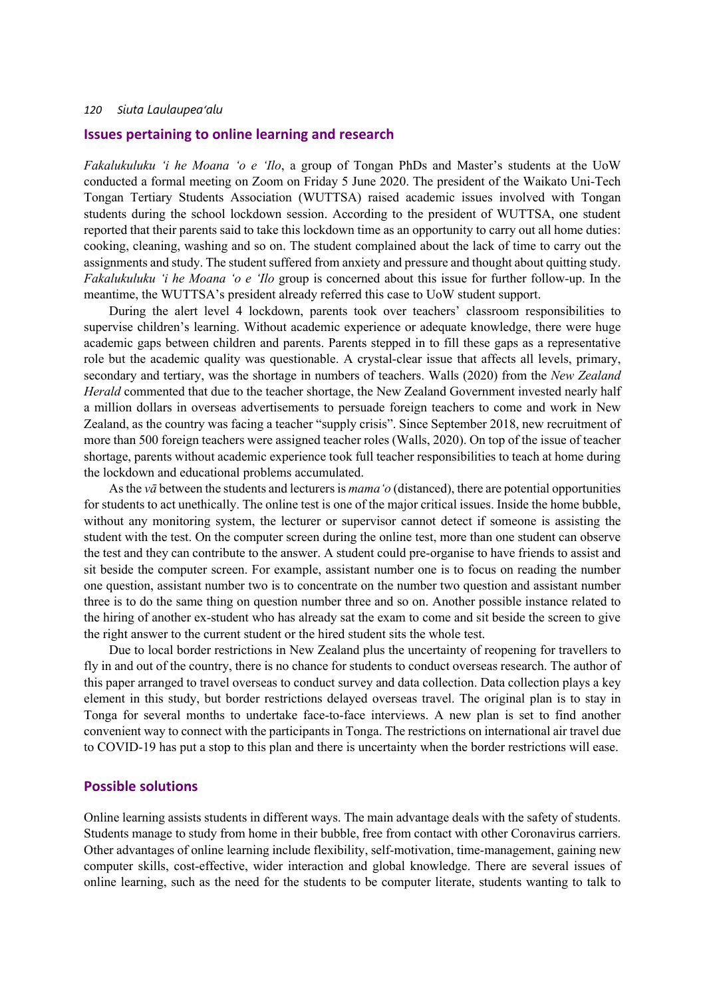## **Issues pertaining to online learning and research**

*Fakalukuluku 'i he Moana 'o e 'Ilo*, a group of Tongan PhDs and Master's students at the UoW conducted a formal meeting on Zoom on Friday 5 June 2020. The president of the Waikato Uni-Tech Tongan Tertiary Students Association (WUTTSA) raised academic issues involved with Tongan students during the school lockdown session. According to the president of WUTTSA, one student reported that their parents said to take this lockdown time as an opportunity to carry out all home duties: cooking, cleaning, washing and so on. The student complained about the lack of time to carry out the assignments and study. The student suffered from anxiety and pressure and thought about quitting study. *Fakalukuluku 'i he Moana 'o e 'Ilo* group is concerned about this issue for further follow-up. In the meantime, the WUTTSA's president already referred this case to UoW student support.

During the alert level 4 lockdown, parents took over teachers' classroom responsibilities to supervise children's learning. Without academic experience or adequate knowledge, there were huge academic gaps between children and parents. Parents stepped in to fill these gaps as a representative role but the academic quality was questionable. A crystal-clear issue that affects all levels, primary, secondary and tertiary, was the shortage in numbers of teachers. Walls (2020) from the *New Zealand Herald* commented that due to the teacher shortage, the New Zealand Government invested nearly half a million dollars in overseas advertisements to persuade foreign teachers to come and work in New Zealand, as the country was facing a teacher "supply crisis". Since September 2018, new recruitment of more than 500 foreign teachers were assigned teacher roles (Walls, 2020). On top of the issue of teacher shortage, parents without academic experience took full teacher responsibilities to teach at home during the lockdown and educational problems accumulated.

As the *vā* between the students and lecturers is *mama'o* (distanced), there are potential opportunities for students to act unethically. The online test is one of the major critical issues. Inside the home bubble, without any monitoring system, the lecturer or supervisor cannot detect if someone is assisting the student with the test. On the computer screen during the online test, more than one student can observe the test and they can contribute to the answer. A student could pre-organise to have friends to assist and sit beside the computer screen. For example, assistant number one is to focus on reading the number one question, assistant number two is to concentrate on the number two question and assistant number three is to do the same thing on question number three and so on. Another possible instance related to the hiring of another ex-student who has already sat the exam to come and sit beside the screen to give the right answer to the current student or the hired student sits the whole test.

Due to local border restrictions in New Zealand plus the uncertainty of reopening for travellers to fly in and out of the country, there is no chance for students to conduct overseas research. The author of this paper arranged to travel overseas to conduct survey and data collection. Data collection plays a key element in this study, but border restrictions delayed overseas travel. The original plan is to stay in Tonga for several months to undertake face-to-face interviews. A new plan is set to find another convenient way to connect with the participants in Tonga. The restrictions on international air travel due to COVID-19 has put a stop to this plan and there is uncertainty when the border restrictions will ease.

## **Possible solutions**

Online learning assists students in different ways. The main advantage deals with the safety of students. Students manage to study from home in their bubble, free from contact with other Coronavirus carriers. Other advantages of online learning include flexibility, self-motivation, time-management, gaining new computer skills, cost-effective, wider interaction and global knowledge. There are several issues of online learning, such as the need for the students to be computer literate, students wanting to talk to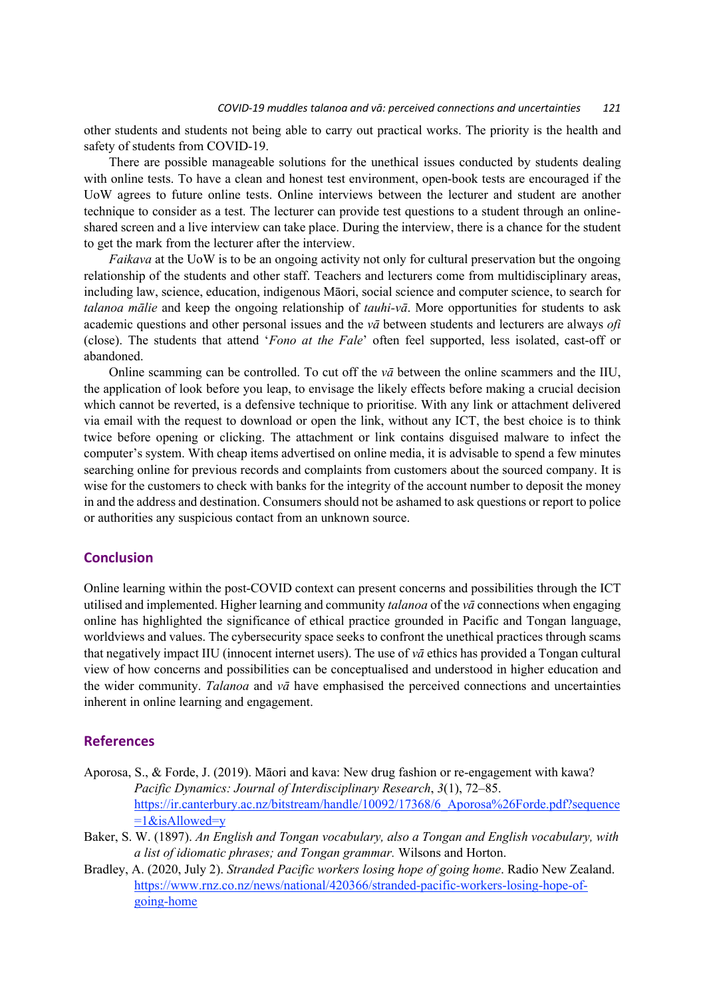other students and students not being able to carry out practical works. The priority is the health and safety of students from COVID-19.

There are possible manageable solutions for the unethical issues conducted by students dealing with online tests. To have a clean and honest test environment, open-book tests are encouraged if the UoW agrees to future online tests. Online interviews between the lecturer and student are another technique to consider as a test. The lecturer can provide test questions to a student through an onlineshared screen and a live interview can take place. During the interview, there is a chance for the student to get the mark from the lecturer after the interview.

*Faikava* at the UoW is to be an ongoing activity not only for cultural preservation but the ongoing relationship of the students and other staff. Teachers and lecturers come from multidisciplinary areas, including law, science, education, indigenous Māori, social science and computer science, to search for *talanoa mālie* and keep the ongoing relationship of *tauhi-vā*. More opportunities for students to ask academic questions and other personal issues and the *vā* between students and lecturers are always *ofi* (close). The students that attend '*Fono at the Fale*' often feel supported, less isolated, cast-off or abandoned.

Online scamming can be controlled. To cut off the *vā* between the online scammers and the IIU, the application of look before you leap, to envisage the likely effects before making a crucial decision which cannot be reverted, is a defensive technique to prioritise. With any link or attachment delivered via email with the request to download or open the link, without any ICT, the best choice is to think twice before opening or clicking. The attachment or link contains disguised malware to infect the computer's system. With cheap items advertised on online media, it is advisable to spend a few minutes searching online for previous records and complaints from customers about the sourced company. It is wise for the customers to check with banks for the integrity of the account number to deposit the money in and the address and destination. Consumers should not be ashamed to ask questions or report to police or authorities any suspicious contact from an unknown source.

## **Conclusion**

Online learning within the post-COVID context can present concerns and possibilities through the ICT utilised and implemented. Higher learning and community *talanoa* of the *vā* connections when engaging online has highlighted the significance of ethical practice grounded in Pacific and Tongan language, worldviews and values. The cybersecurity space seeks to confront the unethical practices through scams that negatively impact IIU (innocent internet users). The use of *vā* ethics has provided a Tongan cultural view of how concerns and possibilities can be conceptualised and understood in higher education and the wider community. *Talanoa* and *vā* have emphasised the perceived connections and uncertainties inherent in online learning and engagement.

## **References**

- Aporosa, S., & Forde, J. (2019). Māori and kava: New drug fashion or re-engagement with kawa? *Pacific Dynamics: Journal of Interdisciplinary Research*, *3*(1), 72–85. https://ir.canterbury.ac.nz/bitstream/handle/10092/17368/6\_Aporosa%26Forde.pdf?sequence  $=1$ &isAllowed=y
- Baker, S. W. (1897). *An English and Tongan vocabulary, also a Tongan and English vocabulary, with a list of idiomatic phrases; and Tongan grammar.* Wilsons and Horton.
- Bradley, A. (2020, July 2). *Stranded Pacific workers losing hope of going home*. Radio New Zealand. https://www.rnz.co.nz/news/national/420366/stranded-pacific-workers-losing-hope-ofgoing-home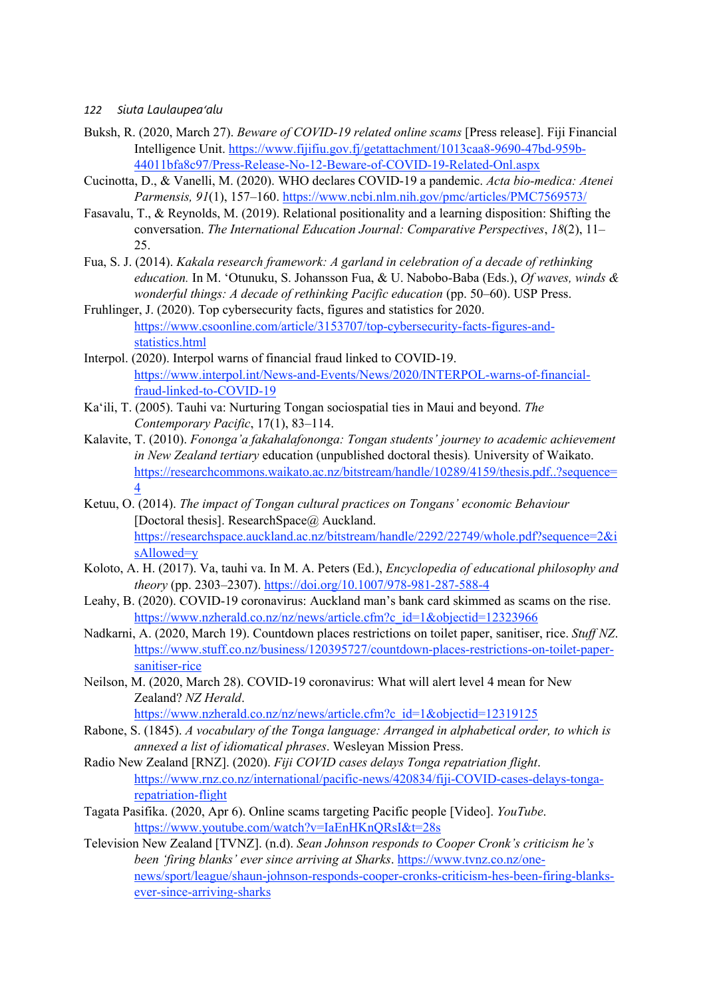- Buksh, R. (2020, March 27). *Beware of COVID-19 related online scams* [Press release]. Fiji Financial Intelligence Unit. https://www.fijifiu.gov.fj/getattachment/1013caa8-9690-47bd-959b-44011bfa8c97/Press-Release-No-12-Beware-of-COVID-19-Related-Onl.aspx
- Cucinotta, D., & Vanelli, M. (2020). WHO declares COVID-19 a pandemic. *Acta bio-medica: Atenei Parmensis, 91*(1), 157–160. https://www.ncbi.nlm.nih.gov/pmc/articles/PMC7569573/
- Fasavalu, T., & Reynolds, M. (2019). Relational positionality and a learning disposition: Shifting the conversation. *The International Education Journal: Comparative Perspectives*, *18*(2), 11– 25.
- Fua, S. J. (2014). *Kakala research framework: A garland in celebration of a decade of rethinking education.* In M. 'Otunuku, S. Johansson Fua, & U. Nabobo-Baba (Eds.), *Of waves, winds & wonderful things: A decade of rethinking Pacific education* (pp. 50–60). USP Press.
- Fruhlinger, J. (2020). Top cybersecurity facts, figures and statistics for 2020. https://www.csoonline.com/article/3153707/top-cybersecurity-facts-figures-andstatistics.html
- Interpol. (2020). Interpol warns of financial fraud linked to COVID-19. https://www.interpol.int/News-and-Events/News/2020/INTERPOL-warns-of-financialfraud-linked-to-COVID-19
- Ka'ili, T. (2005). Tauhi va: Nurturing Tongan sociospatial ties in Maui and beyond. *The Contemporary Pacific*, 17(1), 83–114.
- Kalavite, T. (2010). *Fononga'a fakahalafononga: Tongan students' journey to academic achievement in New Zealand tertiary* education (unpublished doctoral thesis)*.* University of Waikato. https://researchcommons.waikato.ac.nz/bitstream/handle/10289/4159/thesis.pdf..?sequence= 4
- Ketuu, O. (2014). *The impact of Tongan cultural practices on Tongans' economic Behaviour* [Doctoral thesis]. ResearchSpace@ Auckland. https://researchspace.auckland.ac.nz/bitstream/handle/2292/22749/whole.pdf?sequence=2&i sAllowed=y
- Koloto, A. H. (2017). Va, tauhi va. In M. A. Peters (Ed.), *Encyclopedia of educational philosophy and theory* (pp. 2303–2307). https://doi.org/10.1007/978-981-287-588-4
- Leahy, B. (2020). COVID-19 coronavirus: Auckland man's bank card skimmed as scams on the rise. https://www.nzherald.co.nz/nz/news/article.cfm?c\_id=1&objectid=12323966
- Nadkarni, A. (2020, March 19). Countdown places restrictions on toilet paper, sanitiser, rice. *Stuff NZ*. https://www.stuff.co.nz/business/120395727/countdown-places-restrictions-on-toilet-papersanitiser-rice
- Neilson, M. (2020, March 28). COVID-19 coronavirus: What will alert level 4 mean for New Zealand? *NZ Herald*.
	- https://www.nzherald.co.nz/nz/news/article.cfm?c\_id=1&objectid=12319125
- Rabone, S. (1845). *A vocabulary of the Tonga language: Arranged in alphabetical order, to which is annexed a list of idiomatical phrases*. Wesleyan Mission Press.
- Radio New Zealand [RNZ]. (2020). *Fiji COVID cases delays Tonga repatriation flight*. https://www.rnz.co.nz/international/pacific-news/420834/fiji-COVID-cases-delays-tongarepatriation-flight
- Tagata Pasifika. (2020, Apr 6). Online scams targeting Pacific people [Video]. *YouTube*. https://www.youtube.com/watch?v=IaEnHKnQRsI&t=28s
- Television New Zealand [TVNZ]. (n.d). *Sean Johnson responds to Cooper Cronk's criticism he's been 'firing blanks' ever since arriving at Sharks*. https://www.tvnz.co.nz/onenews/sport/league/shaun-johnson-responds-cooper-cronks-criticism-hes-been-firing-blanksever-since-arriving-sharks